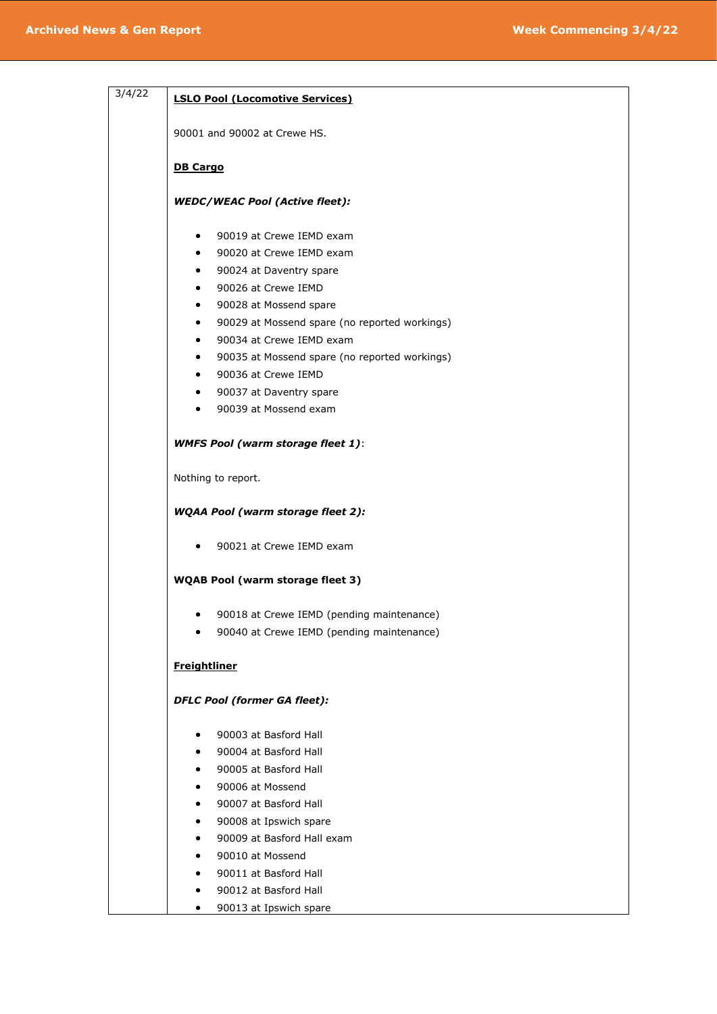| 3/4/22<br><b>LSLO Pool (Locomotive Services)</b><br>90001 and 90002 at Crewe HS.<br><b>DB Cargo</b><br><b>WEDC/WEAC Pool (Active fleet):</b><br>90019 at Crewe IEMD exam<br>٠<br>90020 at Crewe IEMD exam<br>$\bullet$<br>90024 at Daventry spare<br>$\bullet$<br>90026 at Crewe IEMD<br>$\bullet$<br>90028 at Mossend spare<br>$\bullet$<br>90029 at Mossend spare (no reported workings)<br>$\bullet$<br>90034 at Crewe IEMD exam<br>$\bullet$<br>90035 at Mossend spare (no reported workings)<br>$\bullet$<br>90036 at Crewe IEMD<br>$\bullet$<br>90037 at Daventry spare<br>$\bullet$<br>90039 at Mossend exam<br>$\bullet$<br><b>WMFS Pool (warm storage fleet 1):</b><br>Nothing to report.<br><b>WQAA Pool (warm storage fleet 2):</b><br>90021 at Crewe IEMD exam<br>٠<br><b>WQAB Pool (warm storage fleet 3)</b><br>90018 at Crewe IEMD (pending maintenance)<br>90040 at Crewe IEMD (pending maintenance)<br><b>Freightliner</b><br><b>DFLC Pool (former GA fleet):</b><br>90003 at Basford Hall<br>90004 at Basford Hall<br>٠<br>90005 at Basford Hall<br>90006 at Mossend<br>90007 at Basford Hall<br>90008 at Ipswich spare<br>90009 at Basford Hall exam<br>90010 at Mossend<br>90011 at Basford Hall<br>90012 at Basford Hall |  |
|-----------------------------------------------------------------------------------------------------------------------------------------------------------------------------------------------------------------------------------------------------------------------------------------------------------------------------------------------------------------------------------------------------------------------------------------------------------------------------------------------------------------------------------------------------------------------------------------------------------------------------------------------------------------------------------------------------------------------------------------------------------------------------------------------------------------------------------------------------------------------------------------------------------------------------------------------------------------------------------------------------------------------------------------------------------------------------------------------------------------------------------------------------------------------------------------------------------------------------------------------|--|
|                                                                                                                                                                                                                                                                                                                                                                                                                                                                                                                                                                                                                                                                                                                                                                                                                                                                                                                                                                                                                                                                                                                                                                                                                                               |  |
|                                                                                                                                                                                                                                                                                                                                                                                                                                                                                                                                                                                                                                                                                                                                                                                                                                                                                                                                                                                                                                                                                                                                                                                                                                               |  |
|                                                                                                                                                                                                                                                                                                                                                                                                                                                                                                                                                                                                                                                                                                                                                                                                                                                                                                                                                                                                                                                                                                                                                                                                                                               |  |
|                                                                                                                                                                                                                                                                                                                                                                                                                                                                                                                                                                                                                                                                                                                                                                                                                                                                                                                                                                                                                                                                                                                                                                                                                                               |  |
|                                                                                                                                                                                                                                                                                                                                                                                                                                                                                                                                                                                                                                                                                                                                                                                                                                                                                                                                                                                                                                                                                                                                                                                                                                               |  |
|                                                                                                                                                                                                                                                                                                                                                                                                                                                                                                                                                                                                                                                                                                                                                                                                                                                                                                                                                                                                                                                                                                                                                                                                                                               |  |
|                                                                                                                                                                                                                                                                                                                                                                                                                                                                                                                                                                                                                                                                                                                                                                                                                                                                                                                                                                                                                                                                                                                                                                                                                                               |  |
|                                                                                                                                                                                                                                                                                                                                                                                                                                                                                                                                                                                                                                                                                                                                                                                                                                                                                                                                                                                                                                                                                                                                                                                                                                               |  |
|                                                                                                                                                                                                                                                                                                                                                                                                                                                                                                                                                                                                                                                                                                                                                                                                                                                                                                                                                                                                                                                                                                                                                                                                                                               |  |
|                                                                                                                                                                                                                                                                                                                                                                                                                                                                                                                                                                                                                                                                                                                                                                                                                                                                                                                                                                                                                                                                                                                                                                                                                                               |  |
|                                                                                                                                                                                                                                                                                                                                                                                                                                                                                                                                                                                                                                                                                                                                                                                                                                                                                                                                                                                                                                                                                                                                                                                                                                               |  |
|                                                                                                                                                                                                                                                                                                                                                                                                                                                                                                                                                                                                                                                                                                                                                                                                                                                                                                                                                                                                                                                                                                                                                                                                                                               |  |
|                                                                                                                                                                                                                                                                                                                                                                                                                                                                                                                                                                                                                                                                                                                                                                                                                                                                                                                                                                                                                                                                                                                                                                                                                                               |  |
|                                                                                                                                                                                                                                                                                                                                                                                                                                                                                                                                                                                                                                                                                                                                                                                                                                                                                                                                                                                                                                                                                                                                                                                                                                               |  |
|                                                                                                                                                                                                                                                                                                                                                                                                                                                                                                                                                                                                                                                                                                                                                                                                                                                                                                                                                                                                                                                                                                                                                                                                                                               |  |
|                                                                                                                                                                                                                                                                                                                                                                                                                                                                                                                                                                                                                                                                                                                                                                                                                                                                                                                                                                                                                                                                                                                                                                                                                                               |  |

• 90013 at Ipswich spare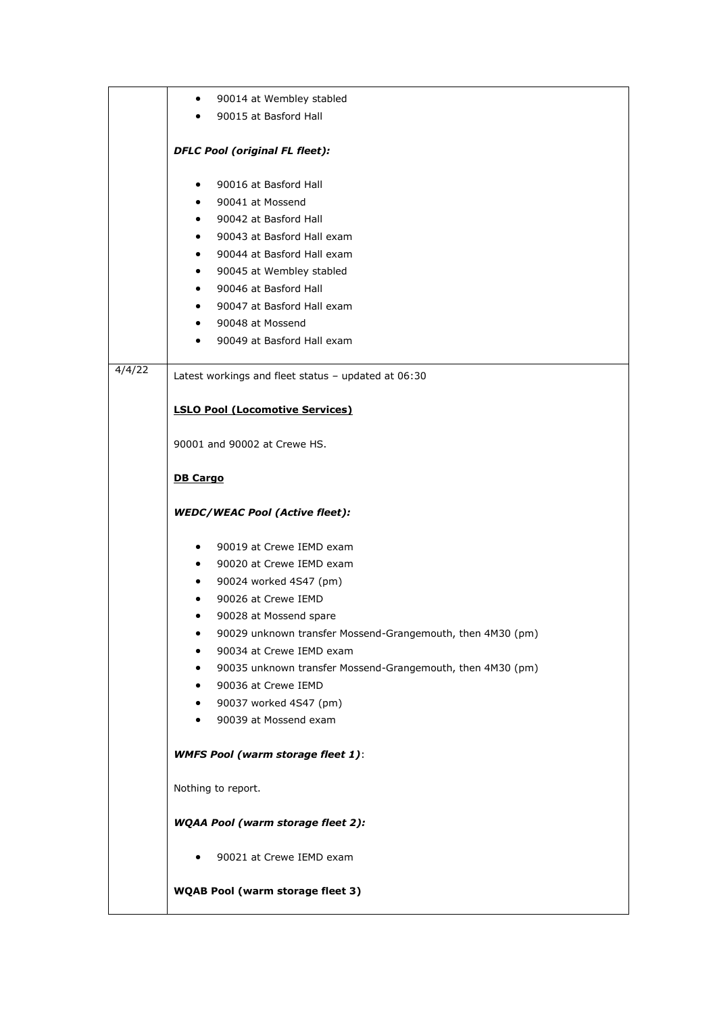|        | 90014 at Wembley stabled<br>$\bullet$                           |  |  |
|--------|-----------------------------------------------------------------|--|--|
|        | 90015 at Basford Hall<br>$\bullet$                              |  |  |
|        |                                                                 |  |  |
|        | <b>DFLC Pool (original FL fleet):</b>                           |  |  |
|        | 90016 at Basford Hall<br>$\bullet$                              |  |  |
|        | 90041 at Mossend<br>$\bullet$                                   |  |  |
|        | 90042 at Basford Hall<br>$\bullet$                              |  |  |
|        | 90043 at Basford Hall exam<br>$\bullet$                         |  |  |
|        | 90044 at Basford Hall exam                                      |  |  |
|        | 90045 at Wembley stabled<br>$\bullet$                           |  |  |
|        | 90046 at Basford Hall<br>$\bullet$                              |  |  |
|        | 90047 at Basford Hall exam<br>$\bullet$                         |  |  |
|        | 90048 at Mossend<br>$\bullet$                                   |  |  |
|        | 90049 at Basford Hall exam                                      |  |  |
|        |                                                                 |  |  |
| 4/4/22 | Latest workings and fleet status - updated at 06:30             |  |  |
|        |                                                                 |  |  |
|        | <b>LSLO Pool (Locomotive Services)</b>                          |  |  |
|        |                                                                 |  |  |
|        | 90001 and 90002 at Crewe HS.                                    |  |  |
|        | <b>DB Cargo</b>                                                 |  |  |
|        |                                                                 |  |  |
|        | <b>WEDC/WEAC Pool (Active fleet):</b>                           |  |  |
|        |                                                                 |  |  |
|        | 90019 at Crewe IEMD exam<br>$\bullet$                           |  |  |
|        | 90020 at Crewe IEMD exam<br>$\bullet$                           |  |  |
|        | 90024 worked 4S47 (pm)<br>$\bullet$                             |  |  |
|        | 90026 at Crewe IEMD                                             |  |  |
|        | 90028 at Mossend spare<br>٠                                     |  |  |
|        | 90029 unknown transfer Mossend-Grangemouth, then 4M30 (pm)<br>٠ |  |  |
|        | 90034 at Crewe IEMD exam                                        |  |  |
|        | 90035 unknown transfer Mossend-Grangemouth, then 4M30 (pm)<br>٠ |  |  |
|        | 90036 at Crewe IEMD<br>$\bullet$                                |  |  |
|        | 90037 worked 4S47 (pm)<br>$\bullet$                             |  |  |
|        | 90039 at Mossend exam                                           |  |  |
|        | <b>WMFS Pool (warm storage fleet 1):</b>                        |  |  |
|        | Nothing to report.                                              |  |  |
|        | <b>WQAA Pool (warm storage fleet 2):</b>                        |  |  |
|        | 90021 at Crewe IEMD exam                                        |  |  |
|        | <b>WQAB Pool (warm storage fleet 3)</b>                         |  |  |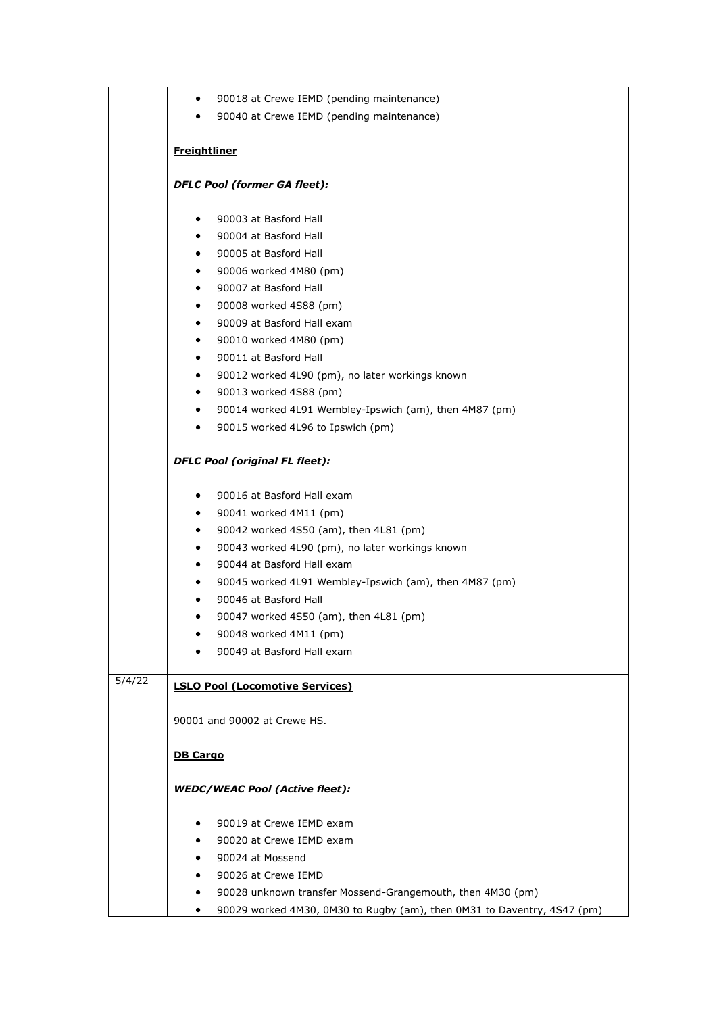|        | 90018 at Crewe IEMD (pending maintenance)<br>$\bullet$                       |
|--------|------------------------------------------------------------------------------|
|        | 90040 at Crewe IEMD (pending maintenance)<br>$\bullet$                       |
|        |                                                                              |
|        | <b>Freightliner</b>                                                          |
|        | <b>DFLC Pool (former GA fleet):</b>                                          |
|        | 90003 at Basford Hall<br>$\bullet$                                           |
|        | 90004 at Basford Hall<br>$\bullet$                                           |
|        | 90005 at Basford Hall<br>$\bullet$                                           |
|        | 90006 worked 4M80 (pm)<br>$\bullet$                                          |
|        | 90007 at Basford Hall<br>$\bullet$                                           |
|        | 90008 worked 4S88 (pm)<br>٠                                                  |
|        | 90009 at Basford Hall exam<br>$\bullet$                                      |
|        | 90010 worked 4M80 (pm)<br>$\bullet$                                          |
|        | 90011 at Basford Hall<br>$\bullet$                                           |
|        | 90012 worked 4L90 (pm), no later workings known<br>$\bullet$                 |
|        | 90013 worked 4S88 (pm)<br>$\bullet$                                          |
|        | 90014 worked 4L91 Wembley-Ipswich (am), then 4M87 (pm)<br>$\bullet$          |
|        | 90015 worked 4L96 to Ipswich (pm)<br>$\bullet$                               |
|        | <b>DFLC Pool (original FL fleet):</b>                                        |
|        | 90016 at Basford Hall exam<br>$\bullet$                                      |
|        | 90041 worked 4M11 (pm)<br>٠                                                  |
|        | 90042 worked 4S50 (am), then 4L81 (pm)<br>$\bullet$                          |
|        | 90043 worked 4L90 (pm), no later workings known<br>$\bullet$                 |
|        | 90044 at Basford Hall exam<br>$\bullet$                                      |
|        | 90045 worked 4L91 Wembley-Ipswich (am), then 4M87 (pm)<br>$\bullet$          |
|        | 90046 at Basford Hall<br>٠                                                   |
|        | 90047 worked 4S50 (am), then 4L81 (pm)<br>٠                                  |
|        | 90048 worked 4M11 (pm)<br>٠                                                  |
|        | 90049 at Basford Hall exam                                                   |
| 5/4/22 | <b>LSLO Pool (Locomotive Services)</b>                                       |
|        | 90001 and 90002 at Crewe HS.                                                 |
|        | <b>DB Cargo</b>                                                              |
|        | <b>WEDC/WEAC Pool (Active fleet):</b>                                        |
|        |                                                                              |
|        | 90019 at Crewe IEMD exam<br>٠                                                |
|        | 90020 at Crewe IEMD exam                                                     |
|        | 90024 at Mossend                                                             |
|        | 90026 at Crewe IEMD                                                          |
|        | 90028 unknown transfer Mossend-Grangemouth, then 4M30 (pm)<br>$\bullet$      |
|        | 90029 worked 4M30, 0M30 to Rugby (am), then 0M31 to Daventry, 4S47 (pm)<br>٠ |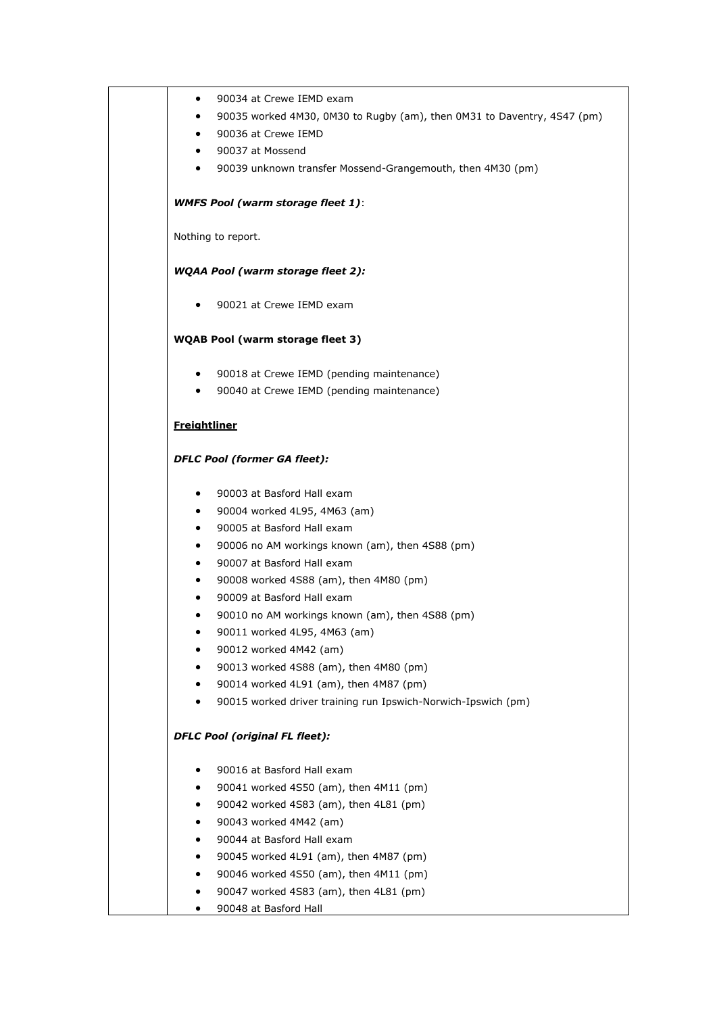| $\bullet$           | 90034 at Crewe IEMD exam                                                |
|---------------------|-------------------------------------------------------------------------|
| $\bullet$           | 90035 worked 4M30, 0M30 to Rugby (am), then 0M31 to Daventry, 4S47 (pm) |
| $\bullet$           | 90036 at Crewe IEMD                                                     |
| $\bullet$           | 90037 at Mossend                                                        |
| $\bullet$           | 90039 unknown transfer Mossend-Grangemouth, then 4M30 (pm)              |
|                     | <b>WMFS Pool (warm storage fleet 1):</b>                                |
|                     | Nothing to report.                                                      |
|                     | <b>WQAA Pool (warm storage fleet 2):</b>                                |
| ٠                   | 90021 at Crewe IEMD exam                                                |
|                     | <b>WQAB Pool (warm storage fleet 3)</b>                                 |
| $\bullet$           | 90018 at Crewe IEMD (pending maintenance)                               |
| $\bullet$           | 90040 at Crewe IEMD (pending maintenance)                               |
| <b>Freightliner</b> |                                                                         |
|                     | <b>DFLC Pool (former GA fleet):</b>                                     |
| $\bullet$           | 90003 at Basford Hall exam                                              |
| $\bullet$           | 90004 worked 4L95, 4M63 (am)                                            |
| $\bullet$           | 90005 at Basford Hall exam                                              |
| $\bullet$           | 90006 no AM workings known (am), then 4S88 (pm)                         |
| $\bullet$           | 90007 at Basford Hall exam                                              |
| $\bullet$           | 90008 worked 4S88 (am), then 4M80 (pm)                                  |
| ٠                   | 90009 at Basford Hall exam                                              |
| $\bullet$           | 90010 no AM workings known (am), then 4S88 (pm)                         |
|                     | 90011 worked 4L95, 4M63 (am)<br>90012 worked 4M42 (am)                  |
|                     | 90013 worked 4S88 (am), then 4M80 (pm)                                  |
|                     | 90014 worked 4L91 (am), then 4M87 (pm)                                  |
| ٠                   | 90015 worked driver training run Ipswich-Norwich-Ipswich (pm)           |
|                     | <b>DFLC Pool (original FL fleet):</b>                                   |
| ٠                   | 90016 at Basford Hall exam                                              |
| ٠                   | 90041 worked 4S50 (am), then 4M11 (pm)                                  |
| ٠                   | 90042 worked 4S83 (am), then 4L81 (pm)                                  |
| ٠                   | 90043 worked 4M42 (am)                                                  |
| ٠                   | 90044 at Basford Hall exam                                              |
|                     | 90045 worked 4L91 (am), then 4M87 (pm)                                  |
| ٠                   | 90046 worked 4S50 (am), then 4M11 (pm)                                  |
| ٠                   | 90047 worked 4S83 (am), then 4L81 (pm)                                  |
|                     | 90048 at Basford Hall                                                   |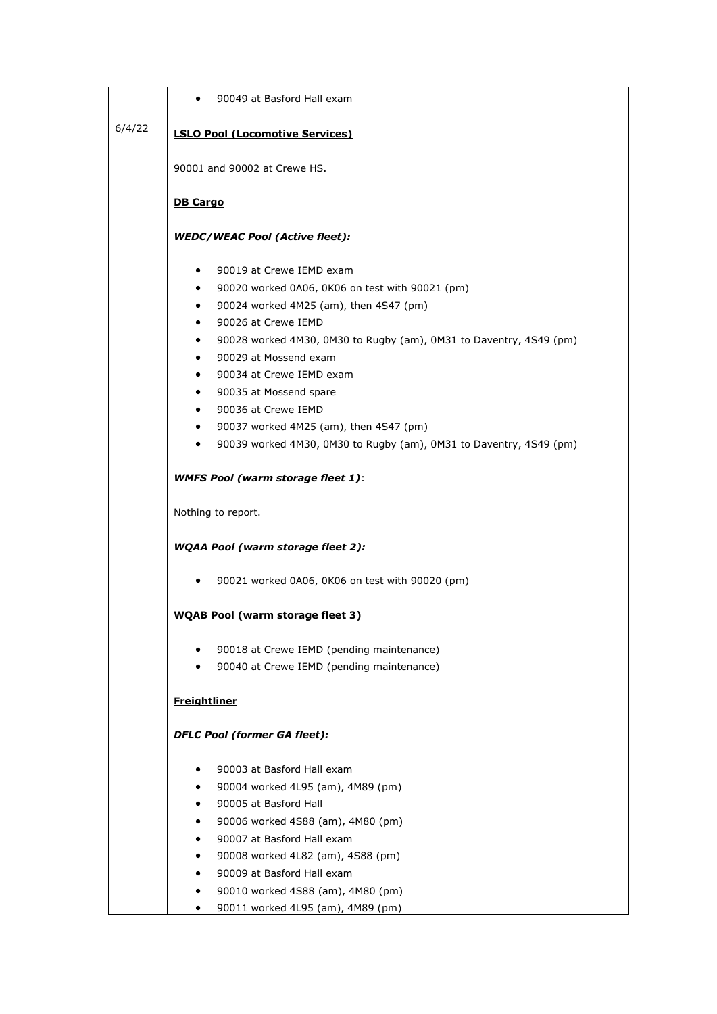|        | 90049 at Basford Hall exam                                              |
|--------|-------------------------------------------------------------------------|
| 6/4/22 | <b>LSLO Pool (Locomotive Services)</b>                                  |
|        |                                                                         |
|        | 90001 and 90002 at Crewe HS.                                            |
|        | <b>DB Cargo</b>                                                         |
|        | <b>WEDC/WEAC Pool (Active fleet):</b>                                   |
|        | 90019 at Crewe IEMD exam<br>٠                                           |
|        | 90020 worked 0A06, 0K06 on test with 90021 (pm)<br>٠                    |
|        | 90024 worked 4M25 (am), then 4S47 (pm)<br>٠                             |
|        | 90026 at Crewe IEMD                                                     |
|        | 90028 worked 4M30, 0M30 to Rugby (am), 0M31 to Daventry, 4S49 (pm)      |
|        | 90029 at Mossend exam<br>٠                                              |
|        | 90034 at Crewe IEMD exam<br>٠                                           |
|        | 90035 at Mossend spare<br>٠                                             |
|        | 90036 at Crewe IEMD                                                     |
|        | 90037 worked 4M25 (am), then 4S47 (pm)                                  |
|        | 90039 worked 4M30, 0M30 to Rugby (am), 0M31 to Daventry, 4S49 (pm)<br>٠ |
|        | <b>WMFS Pool (warm storage fleet 1):</b>                                |
|        | Nothing to report.                                                      |
|        | <b>WQAA Pool (warm storage fleet 2):</b>                                |
|        | 90021 worked 0A06, 0K06 on test with 90020 (pm)<br>٠                    |
|        | <b>WQAB Pool (warm storage fleet 3)</b>                                 |
|        | 90018 at Crewe IEMD (pending maintenance)                               |
|        | 90040 at Crewe IEMD (pending maintenance)                               |
|        | <b>Freightliner</b>                                                     |
|        | <b>DFLC Pool (former GA fleet):</b>                                     |
|        | 90003 at Basford Hall exam                                              |
|        | 90004 worked 4L95 (am), 4M89 (pm)                                       |
|        | 90005 at Basford Hall                                                   |
|        | 90006 worked 4S88 (am), 4M80 (pm)                                       |
|        | 90007 at Basford Hall exam                                              |
|        | 90008 worked 4L82 (am), 4S88 (pm)                                       |
|        | 90009 at Basford Hall exam                                              |
|        | 90010 worked 4S88 (am), 4M80 (pm)                                       |
|        | 90011 worked 4L95 (am), 4M89 (pm)                                       |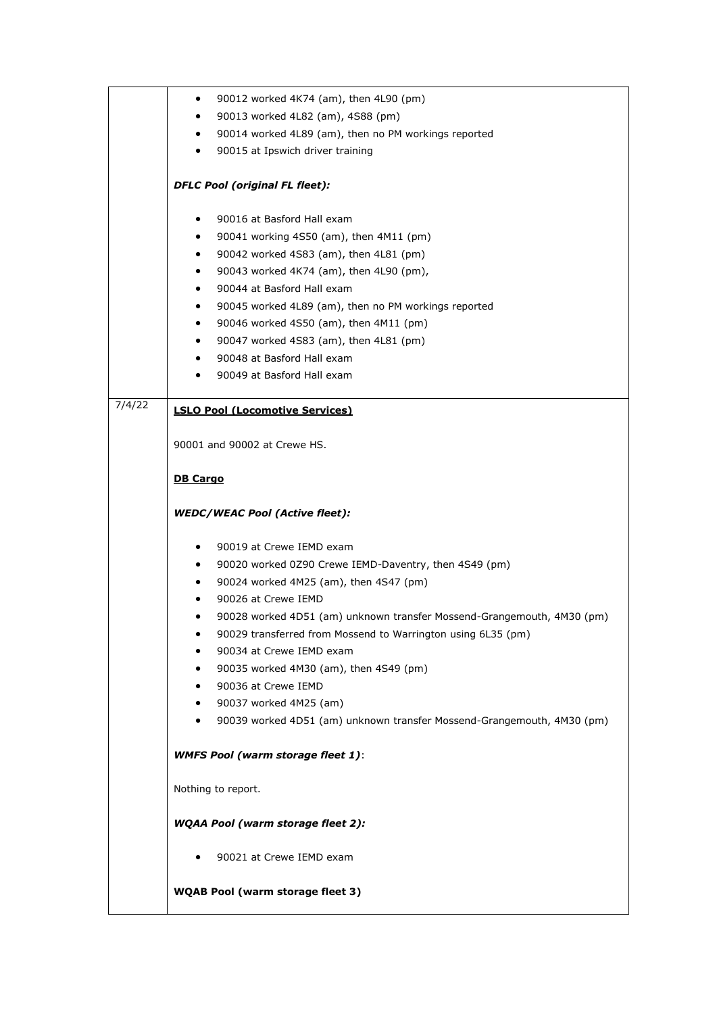|        | 90012 worked 4K74 (am), then 4L90 (pm)<br>٠                                         |
|--------|-------------------------------------------------------------------------------------|
|        | 90013 worked 4L82 (am), 4S88 (pm)<br>٠                                              |
|        | 90014 worked 4L89 (am), then no PM workings reported<br>$\bullet$                   |
|        | 90015 at Ipswich driver training<br>$\bullet$                                       |
|        |                                                                                     |
|        | <b>DFLC Pool (original FL fleet):</b>                                               |
|        | 90016 at Basford Hall exam<br>٠                                                     |
|        | 90041 working 4S50 (am), then 4M11 (pm)<br>$\bullet$                                |
|        | 90042 worked 4S83 (am), then 4L81 (pm)<br>٠                                         |
|        | 90043 worked 4K74 (am), then 4L90 (pm),<br>٠                                        |
|        | 90044 at Basford Hall exam<br>$\bullet$                                             |
|        | 90045 worked 4L89 (am), then no PM workings reported<br>٠                           |
|        | 90046 worked 4S50 (am), then 4M11 (pm)<br>$\bullet$                                 |
|        | 90047 worked 4S83 (am), then 4L81 (pm)<br>$\bullet$                                 |
|        | 90048 at Basford Hall exam<br>$\bullet$                                             |
|        | 90049 at Basford Hall exam<br>٠                                                     |
|        |                                                                                     |
| 7/4/22 | <b>LSLO Pool (Locomotive Services)</b>                                              |
|        |                                                                                     |
|        | 90001 and 90002 at Crewe HS.                                                        |
|        | <b>DB Cargo</b>                                                                     |
|        |                                                                                     |
|        | <b>WEDC/WEAC Pool (Active fleet):</b>                                               |
|        |                                                                                     |
|        | 90019 at Crewe IEMD exam<br>$\bullet$                                               |
|        | 90020 worked 0Z90 Crewe IEMD-Daventry, then 4S49 (pm)<br>$\bullet$                  |
|        | 90024 worked 4M25 (am), then 4S47 (pm)<br>٠                                         |
|        | 90026 at Crewe IEMD<br>٠                                                            |
|        | 90028 worked 4D51 (am) unknown transfer Mossend-Grangemouth, 4M30 (pm)              |
|        | 90029 transferred from Mossend to Warrington using 6L35 (pm)<br>٠                   |
|        | 90034 at Crewe IEMD exam                                                            |
|        | 90035 worked 4M30 (am), then 4S49 (pm)                                              |
|        | 90036 at Crewe IEMD<br>$\bullet$                                                    |
|        | 90037 worked 4M25 (am)<br>٠                                                         |
|        | 90039 worked 4D51 (am) unknown transfer Mossend-Grangemouth, 4M30 (pm)<br>$\bullet$ |
|        | <b>WMFS Pool (warm storage fleet 1):</b>                                            |
|        |                                                                                     |
|        | Nothing to report.                                                                  |
|        | <b>WQAA Pool (warm storage fleet 2):</b>                                            |
|        | 90021 at Crewe IEMD exam<br>٠                                                       |
|        |                                                                                     |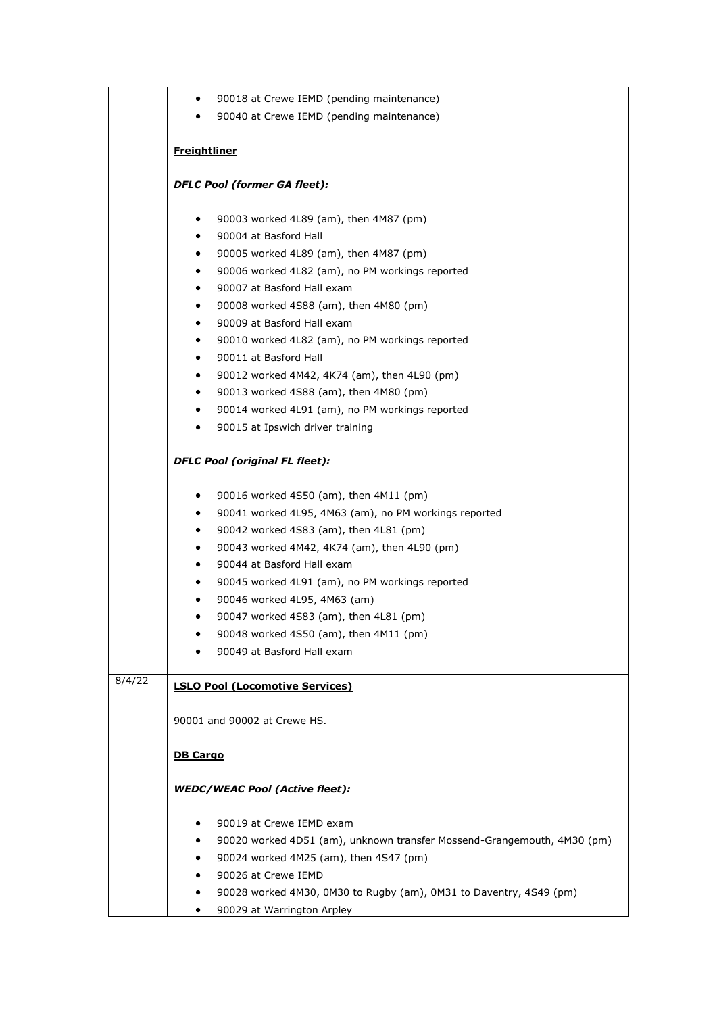|        | 90018 at Crewe IEMD (pending maintenance)<br>$\bullet$                  |  |  |
|--------|-------------------------------------------------------------------------|--|--|
|        | 90040 at Crewe IEMD (pending maintenance)                               |  |  |
|        |                                                                         |  |  |
|        | <b>Freightliner</b>                                                     |  |  |
|        | <b>DFLC Pool (former GA fleet):</b>                                     |  |  |
|        | 90003 worked 4L89 (am), then 4M87 (pm)<br>$\bullet$                     |  |  |
|        | 90004 at Basford Hall<br>٠                                              |  |  |
|        | 90005 worked 4L89 (am), then 4M87 (pm)<br>٠                             |  |  |
|        | 90006 worked 4L82 (am), no PM workings reported                         |  |  |
|        | 90007 at Basford Hall exam<br>$\bullet$                                 |  |  |
|        | 90008 worked 4S88 (am), then 4M80 (pm)<br>٠                             |  |  |
|        | 90009 at Basford Hall exam<br>$\bullet$                                 |  |  |
|        | 90010 worked 4L82 (am), no PM workings reported<br>٠                    |  |  |
|        | 90011 at Basford Hall                                                   |  |  |
|        | 90012 worked 4M42, 4K74 (am), then 4L90 (pm)<br>$\bullet$               |  |  |
|        | 90013 worked 4S88 (am), then 4M80 (pm)<br>٠                             |  |  |
|        | 90014 worked 4L91 (am), no PM workings reported<br>٠                    |  |  |
|        | 90015 at Ipswich driver training<br>٠                                   |  |  |
|        | <b>DFLC Pool (original FL fleet):</b>                                   |  |  |
|        | 90016 worked 4S50 (am), then 4M11 (pm)<br>٠                             |  |  |
|        | 90041 worked 4L95, 4M63 (am), no PM workings reported<br>٠              |  |  |
|        | 90042 worked 4S83 (am), then 4L81 (pm)<br>٠                             |  |  |
|        | 90043 worked 4M42, 4K74 (am), then 4L90 (pm)<br>$\bullet$               |  |  |
|        | 90044 at Basford Hall exam<br>٠                                         |  |  |
|        | 90045 worked 4L91 (am), no PM workings reported<br>٠                    |  |  |
|        | 90046 worked 4L95, 4M63 (am)<br>٠                                       |  |  |
|        | 90047 worked 4S83 (am), then 4L81 (pm)<br>٠                             |  |  |
|        | 90048 worked 4S50 (am), then 4M11 (pm)<br>٠                             |  |  |
|        | 90049 at Basford Hall exam                                              |  |  |
| 8/4/22 | <b>LSLO Pool (Locomotive Services)</b>                                  |  |  |
|        | 90001 and 90002 at Crewe HS.                                            |  |  |
|        | <b>DB Cargo</b>                                                         |  |  |
|        | <b>WEDC/WEAC Pool (Active fleet):</b>                                   |  |  |
|        | 90019 at Crewe IEMD exam<br>٠                                           |  |  |
|        | 90020 worked 4D51 (am), unknown transfer Mossend-Grangemouth, 4M30 (pm) |  |  |
|        | 90024 worked 4M25 (am), then 4S47 (pm)<br>٠                             |  |  |
|        | 90026 at Crewe IEMD<br>٠                                                |  |  |
|        | 90028 worked 4M30, 0M30 to Rugby (am), 0M31 to Daventry, 4S49 (pm)<br>٠ |  |  |
|        | 90029 at Warrington Arpley<br>٠                                         |  |  |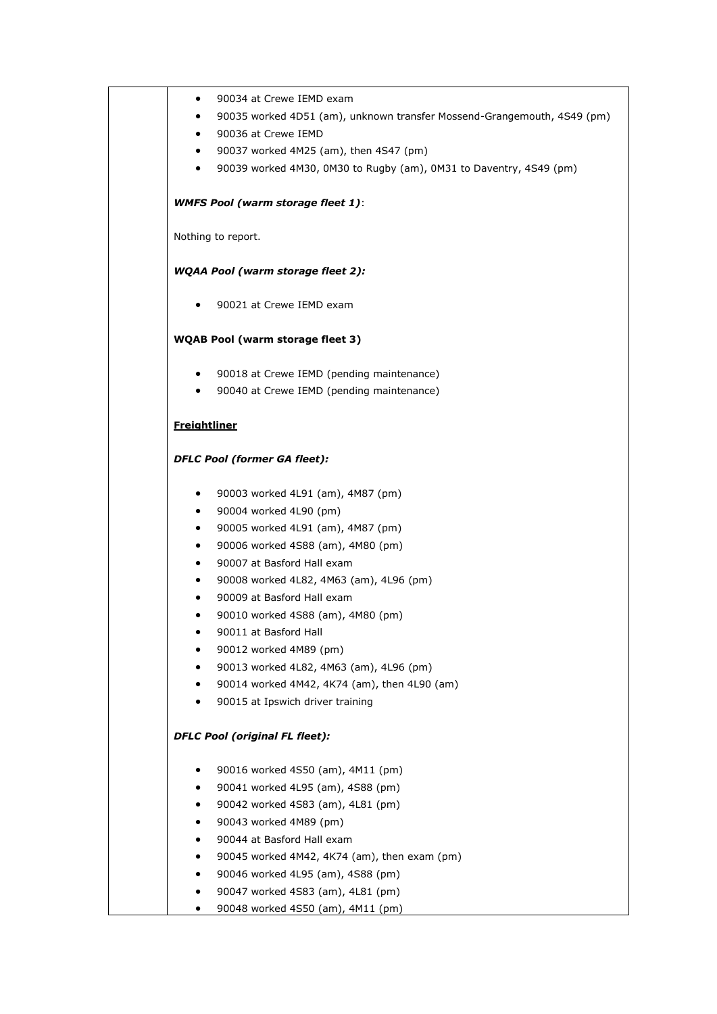| $\bullet$           | 90034 at Crewe IEMD exam                                                |
|---------------------|-------------------------------------------------------------------------|
| $\bullet$           | 90035 worked 4D51 (am), unknown transfer Mossend-Grangemouth, 4S49 (pm) |
| $\bullet$           | 90036 at Crewe IEMD                                                     |
| $\bullet$           | 90037 worked 4M25 (am), then 4S47 (pm)                                  |
| $\bullet$           | 90039 worked 4M30, 0M30 to Rugby (am), 0M31 to Daventry, 4S49 (pm)      |
|                     | <b>WMFS Pool (warm storage fleet 1):</b>                                |
|                     | Nothing to report.                                                      |
|                     | <b>WQAA Pool (warm storage fleet 2):</b>                                |
|                     | 90021 at Crewe IEMD exam                                                |
|                     | <b>WQAB Pool (warm storage fleet 3)</b>                                 |
| $\bullet$           | 90018 at Crewe IEMD (pending maintenance)                               |
| $\bullet$           | 90040 at Crewe IEMD (pending maintenance)                               |
| <b>Freightliner</b> |                                                                         |
|                     | <b>DFLC Pool (former GA fleet):</b>                                     |
| $\bullet$           | 90003 worked 4L91 (am), 4M87 (pm)                                       |
| $\bullet$           | 90004 worked 4L90 (pm)                                                  |
| $\bullet$           | 90005 worked 4L91 (am), 4M87 (pm)                                       |
| $\bullet$           | 90006 worked 4S88 (am), 4M80 (pm)                                       |
| $\bullet$           | 90007 at Basford Hall exam                                              |
| $\bullet$           | 90008 worked 4L82, 4M63 (am), 4L96 (pm)                                 |
| $\bullet$           | 90009 at Basford Hall exam                                              |
| $\bullet$           | 90010 worked 4S88 (am), 4M80 (pm)                                       |
|                     | 90011 at Basford Hall<br>90012 worked 4M89 (pm)                         |
|                     | 90013 worked 4L82, 4M63 (am), 4L96 (pm)                                 |
| $\bullet$           | 90014 worked 4M42, 4K74 (am), then 4L90 (am)                            |
|                     | 90015 at Ipswich driver training                                        |
|                     | <b>DFLC Pool (original FL fleet):</b>                                   |
| ٠                   | 90016 worked 4S50 (am), 4M11 (pm)                                       |
| $\bullet$           | 90041 worked 4L95 (am), 4S88 (pm)                                       |
| ٠                   | 90042 worked 4S83 (am), 4L81 (pm)                                       |
| $\bullet$           | 90043 worked 4M89 (pm)                                                  |
| ٠                   | 90044 at Basford Hall exam                                              |
| $\bullet$           | 90045 worked 4M42, 4K74 (am), then exam (pm)                            |
| $\bullet$           | 90046 worked 4L95 (am), 4S88 (pm)                                       |
| ٠                   | 90047 worked 4S83 (am), 4L81 (pm)                                       |
| ٠                   | 90048 worked 4S50 (am), 4M11 (pm)                                       |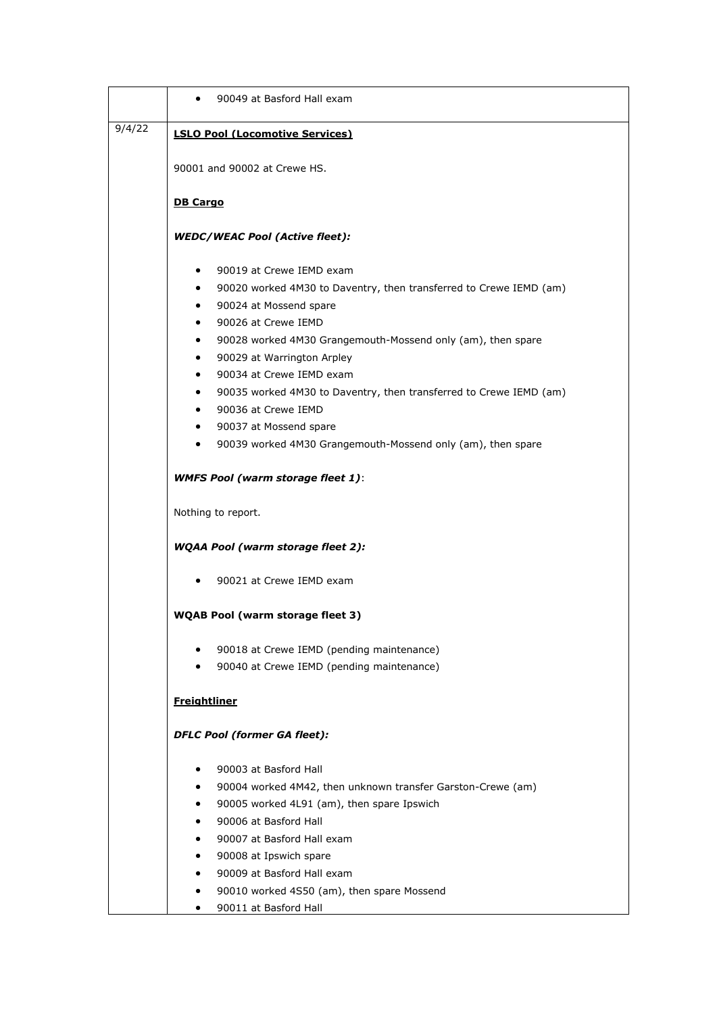|        | 90049 at Basford Hall exam<br>$\bullet$                                         |  |  |  |
|--------|---------------------------------------------------------------------------------|--|--|--|
| 9/4/22 | <b>LSLO Pool (Locomotive Services)</b>                                          |  |  |  |
|        |                                                                                 |  |  |  |
|        | 90001 and 90002 at Crewe HS.                                                    |  |  |  |
|        | <b>DB Cargo</b>                                                                 |  |  |  |
|        | <b>WEDC/WEAC Pool (Active fleet):</b>                                           |  |  |  |
|        | 90019 at Crewe IEMD exam<br>$\bullet$                                           |  |  |  |
|        | 90020 worked 4M30 to Daventry, then transferred to Crewe IEMD (am)<br>$\bullet$ |  |  |  |
|        | 90024 at Mossend spare<br>$\bullet$                                             |  |  |  |
|        | 90026 at Crewe IEMD<br>٠                                                        |  |  |  |
|        | 90028 worked 4M30 Grangemouth-Mossend only (am), then spare<br>٠                |  |  |  |
|        | 90029 at Warrington Arpley<br>٠                                                 |  |  |  |
|        | 90034 at Crewe IEMD exam<br>$\bullet$                                           |  |  |  |
|        | 90035 worked 4M30 to Daventry, then transferred to Crewe IEMD (am)<br>$\bullet$ |  |  |  |
|        | 90036 at Crewe IEMD<br>٠                                                        |  |  |  |
|        | 90037 at Mossend spare                                                          |  |  |  |
|        | 90039 worked 4M30 Grangemouth-Mossend only (am), then spare<br>$\bullet$        |  |  |  |
|        | <b>WMFS Pool (warm storage fleet 1):</b>                                        |  |  |  |
|        | Nothing to report.                                                              |  |  |  |
|        | <b>WQAA Pool (warm storage fleet 2):</b>                                        |  |  |  |
|        | 90021 at Crewe IEMD exam<br>٠                                                   |  |  |  |
|        | <b>WQAB Pool (warm storage fleet 3)</b>                                         |  |  |  |
|        | 90018 at Crewe IEMD (pending maintenance)                                       |  |  |  |
|        | 90040 at Crewe IEMD (pending maintenance)                                       |  |  |  |
|        | <b>Freightliner</b>                                                             |  |  |  |
|        | <b>DFLC Pool (former GA fleet):</b>                                             |  |  |  |
|        | 90003 at Basford Hall<br>٠                                                      |  |  |  |
|        | 90004 worked 4M42, then unknown transfer Garston-Crewe (am)                     |  |  |  |
|        | 90005 worked 4L91 (am), then spare Ipswich<br>٠                                 |  |  |  |
|        | 90006 at Basford Hall                                                           |  |  |  |
|        | 90007 at Basford Hall exam                                                      |  |  |  |
|        | 90008 at Ipswich spare                                                          |  |  |  |
|        | 90009 at Basford Hall exam                                                      |  |  |  |
|        | 90010 worked 4S50 (am), then spare Mossend<br>٠                                 |  |  |  |
|        | 90011 at Basford Hall<br>٠                                                      |  |  |  |